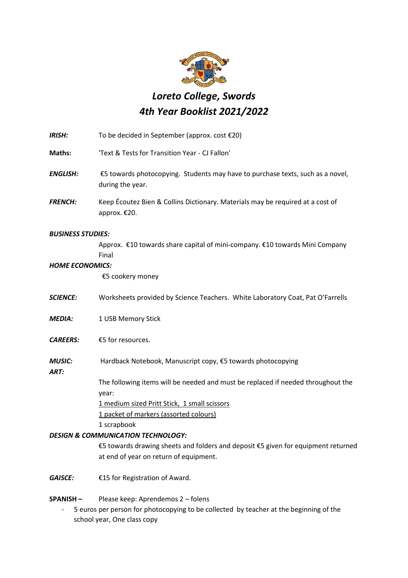

## *Loreto College, Swords 4th Year Booklist 2021/2022*

| To be decided in September (approx. cost €20)                                                      |
|----------------------------------------------------------------------------------------------------|
| 'Text & Tests for Transition Year - CJ Fallon'                                                     |
| €5 towards photocopying. Students may have to purchase texts, such as a novel,<br>during the year. |
| Keep Écoutez Bien & Collins Dictionary. Materials may be required at a cost of<br>approx. €20.     |
| <b>BUSINESS STUDIES:</b>                                                                           |
| Approx. €10 towards share capital of mini-company. €10 towards Mini Company<br>Final               |
| <b>HOME ECONOMICS:</b>                                                                             |
| €5 cookery money                                                                                   |
| Worksheets provided by Science Teachers. White Laboratory Coat, Pat O'Farrells                     |
| 1 USB Memory Stick                                                                                 |
| €5 for resources.                                                                                  |
| Hardback Notebook, Manuscript copy, €5 towards photocopying                                        |
| The following items will be needed and must be replaced if needed throughout the<br>year:          |
| 1 medium sized Pritt Stick, 1 small scissors                                                       |
| 1 packet of markers (assorted colours)                                                             |
| 1 scrapbook                                                                                        |
| <b>DESIGN &amp; COMMUNICATION TECHNOLOGY:</b>                                                      |
| €5 towards drawing sheets and folders and deposit €5 given for equipment returned                  |
| at end of year on return of equipment.                                                             |
| €15 for Registration of Award.                                                                     |
| Please keep: Aprendemos 2 - folens                                                                 |
|                                                                                                    |

- 5 euros per person for photocopying to be collected by teacher at the beginning of the school year, One class copy